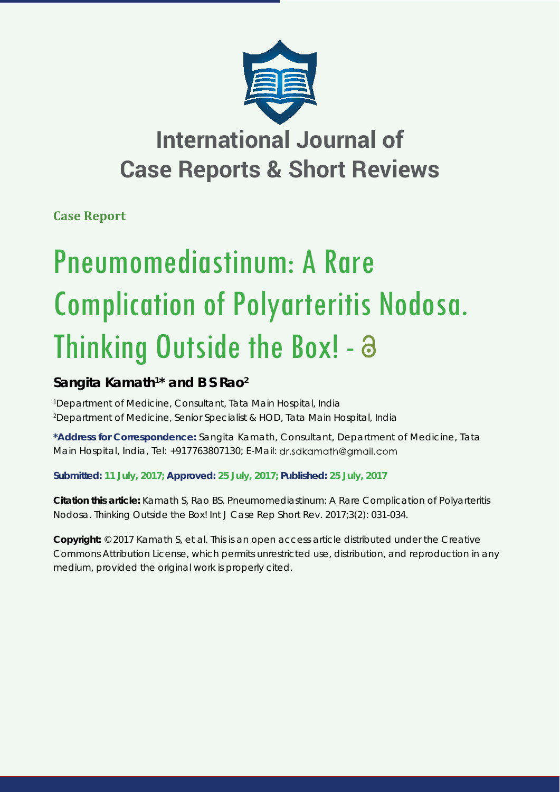

## **International Journal of Case Reports & Short Reviews**

**Case Report**

# Pneumomediastinum: A Rare Complication of Polyarteritis Nodosa. Thinking Outside the Box! - a

### **Sangita Kamath1 \* and B S Rao2**

*1 Department of Medicine, Consultant, Tata Main Hospital, India 2 Department of Medicine, Senior Specialist & HOD, Tata Main Hospital, India*

**\*Address for Correspondence:** Sangita Kamath, Consultant, Department of Medicine, Tata Main Hospital, India, Tel: +917763807130; E-Mail: dr.sdkamath@gmail.com

**Submitted: 11 July, 2017; Approved: 25 July, 2017; Published: 25 July, 2017**

**Citation this article:** Kamath S, Rao BS. Pneumomediastinum: A Rare Complication of Polyarteritis Nodosa. Thinking Outside the Box! Int J Case Rep Short Rev. 2017;3(2): 031-034.

**Copyright:** © 2017 Kamath S, et al. This is an open access article distributed under the Creative Commons Attribution License, which permits unrestricted use, distribution, and reproduction in any medium, provided the original work is properly cited.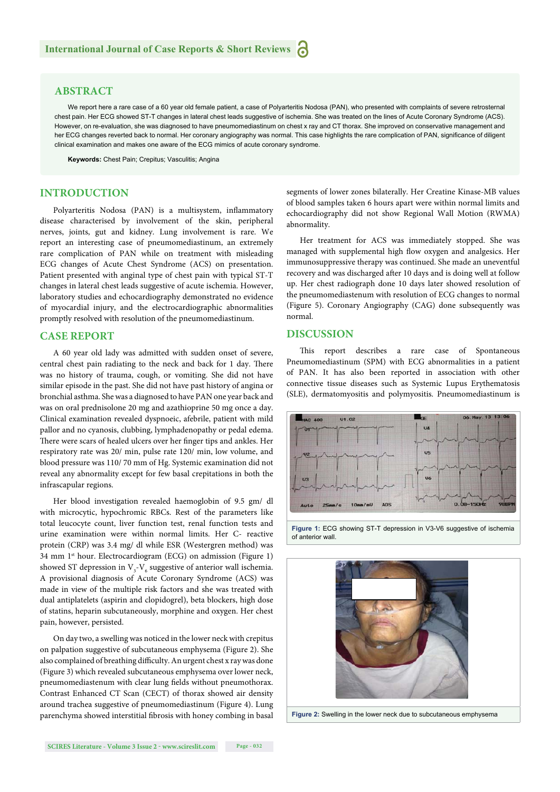#### **ABSTRACT**

We report here a rare case of a 60 year old female patient, a case of Polyarteritis Nodosa (PAN), who presented with complaints of severe retrosternal chest pain. Her ECG showed ST-T changes in lateral chest leads suggestive of ischemia. She was treated on the lines of Acute Coronary Syndrome (ACS). However, on re-evaluation, she was diagnosed to have pneumomediastinum on chest x ray and CT thorax. She improved on conservative management and her ECG changes reverted back to normal. Her coronary angiography was normal. This case highlights the rare complication of PAN, significance of diligent clinical examination and makes one aware of the ECG mimics of acute coronary syndrome.

**Keywords:** Chest Pain; Crepitus; Vasculitis; Angina

#### **INTRODUCTION**

Polyarteritis Nodosa (PAN) is a multisystem, inflammatory disease characterised by involvement of the skin, peripheral nerves, joints, gut and kidney. Lung involvement is rare. We report an interesting case of pneumomediastinum, an extremely rare complication of PAN while on treatment with misleading ECG changes of Acute Chest Syndrome (ACS) on presentation. Patient presented with anginal type of chest pain with typical ST-T changes in lateral chest leads suggestive of acute ischemia. However, laboratory studies and echocardiography demonstrated no evidence of myocardial injury, and the electrocardiographic abnormalities promptly resolved with resolution of the pneumomediastinum.

#### **CASE REPORT**

A 60 year old lady was admitted with sudden onset of severe, central chest pain radiating to the neck and back for 1 day. There was no history of trauma, cough, or vomiting. She did not have similar episode in the past. She did not have past history of angina or bronchial asthma. She was a diagnosed to have PAN one year back and was on oral prednisolone 20 mg and azathioprine 50 mg once a day. Clinical examination revealed dyspnoeic, afebrile, patient with mild pallor and no cyanosis, clubbing, lymphadenopathy or pedal edema. There were scars of healed ulcers over her finger tips and ankles. Her respiratory rate was 20/ min, pulse rate 120/ min, low volume, and blood pressure was 110/ 70 mm of Hg. Systemic examination did not reveal any abnormality except for few basal crepitations in both the infrascapular regions.

Her blood investigation revealed haemoglobin of 9.5 gm/ dl with microcytic, hypochromic RBCs. Rest of the parameters like total leucocyte count, liver function test, renal function tests and urine examination were within normal limits. Her C- reactive protein (CRP) was 3.4 mg/ dl while ESR (Westergren method) was 34 mm 1<sup>st</sup> hour. Electrocardiogram (ECG) on admission (Figure 1) showed ST depression in  $V_{3}$ - $V_{6}$  suggestive of anterior wall ischemia. A provisional diagnosis of Acute Coronary Syndrome (ACS) was made in view of the multiple risk factors and she was treated with dual antiplatelets (aspirin and clopidogrel), beta blockers, high dose of statins, heparin subcutaneously, morphine and oxygen. Her chest pain, however, persisted.

On day two, a swelling was noticed in the lower neck with crepitus on palpation suggestive of subcutaneous emphysema (Figure 2). She also complained of breathing difficulty. An urgent chest x ray was done (Figure 3) which revealed subcutaneous emphysema over lower neck, pneumomediastenum with clear lung fields without pneumothorax. Contrast Enhanced CT Scan (CECT) of thorax showed air density around trachea suggestive of pneumomediastinum (Figure 4). Lung parenchyma showed interstitial fibrosis with honey combing in basal

segments of lower zones bilaterally. Her Creatine Kinase-MB values of blood samples taken 6 hours apart were within normal limits and echocardiography did not show Regional Wall Motion (RWMA) abnormality.

Her treatment for ACS was immediately stopped. She was managed with supplemental high flow oxygen and analgesics. Her immunosuppressive therapy was continued. She made an uneventful recovery and was discharged after 10 days and is doing well at follow up. Her chest radiograph done 10 days later showed resolution of the pneumomediastenum with resolution of ECG changes to normal (Figure 5). Coronary Angiography (CAG) done subsequently was normal.

#### **DISCUSSION**

This report describes a rare case of Spontaneous Pneumomediastinum (SPM) with ECG abnormalities in a patient of PAN. It has also been reported in association with other connective tissue diseases such as Systemic Lupus Erythematosis (SLE), dermatomyositis and polymyositis. Pneumomediastinum is



**Figure 1:** ECG showing ST-T depression in V3-V6 suggestive of ischemia of anterior wall.



**Figure 2:** Swelling in the lower neck due to subcutaneous emphysema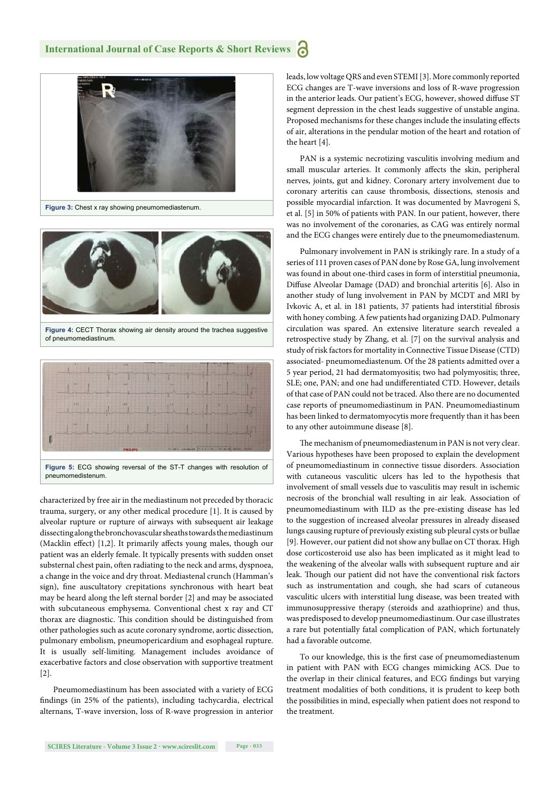

**Figure 3:** Chest x ray showing pneumomediastenum.



**Figure 4:** CECT Thorax showing air density around the trachea suggestive of pneumomediastinum.



characterized by free air in the mediastinum not preceded by thoracic trauma, surgery, or any other medical procedure [1]. It is caused by alveolar rupture or rupture of airways with subsequent air leakage dissecting along the bronchovascular sheaths towards the mediastinum (Macklin effect) [1,2]. It primarily affects young males, though our patient was an elderly female. It typically presents with sudden onset substernal chest pain, often radiating to the neck and arms, dyspnoea, a change in the voice and dry throat. Mediastenal crunch (Hamman's sign), fine auscultatory crepitations synchronous with heart beat may be heard along the left sternal border [2] and may be associated with subcutaneous emphysema. Conventional chest x ray and CT thorax are diagnostic. This condition should be distinguished from other pathologies such as acute coronary syndrome, aortic dissection, pulmonary embolism, pneumopericardium and esophageal rupture. It is usually self-limiting. Management includes avoidance of exacerbative factors and close observation with supportive treatment [2].

Pneumomediastinum has been associated with a variety of ECG findings (in 25% of the patients), including tachycardia, electrical alternans, T-wave inversion, loss of R-wave progression in anterior leads, low voltage QRS and even STEMI [3]. More commonly reported ECG changes are T-wave inversions and loss of R-wave progression in the anterior leads. Our patient's ECG, however, showed diffuse ST segment depression in the chest leads suggestive of unstable angina. Proposed mechanisms for these changes include the insulating effects of air, alterations in the pendular motion of the heart and rotation of the heart [4].

PAN is a systemic necrotizing vasculitis involving medium and small muscular arteries. It commonly affects the skin, peripheral nerves, joints, gut and kidney. Coronary artery involvement due to coronary arteritis can cause thrombosis, dissections, stenosis and possible myocardial infarction. It was documented by Mavrogeni S, et al. [5] in 50% of patients with PAN. In our patient, however, there was no involvement of the coronaries, as CAG was entirely normal and the ECG changes were entirely due to the pneumomediastenum.

Pulmonary involvement in PAN is strikingly rare. In a study of a series of 111 proven cases of PAN done by Rose GA, lung involvement was found in about one-third cases in form of interstitial pneumonia, Diffuse Alveolar Damage (DAD) and bronchial arteritis [6]. Also in another study of lung involvement in PAN by MCDT and MRI by Ivkovic A, et al. in 181 patients, 37 patients had interstitial fibrosis with honey combing. A few patients had organizing DAD. Pulmonary circulation was spared. An extensive literature search revealed a retrospective study by Zhang, et al. [7] on the survival analysis and study of risk factors for mortality in Connective Tissue Disease (CTD) associated- pneumomediastenum. Of the 28 patients admitted over a 5 year period, 21 had dermatomyositis; two had polymyositis; three, SLE; one, PAN; and one had undifferentiated CTD. However, details of that case of PAN could not be traced. Also there are no documented case reports of pneumomediastinum in PAN. Pneumomediastinum has been linked to dermatomyocytis more frequently than it has been to any other autoimmune disease [8].

The mechanism of pneumomediastenum in PAN is not very clear. Various hypotheses have been proposed to explain the development of pneumomediastinum in connective tissue disorders. Association with cutaneous vasculitic ulcers has led to the hypothesis that involvement of small vessels due to vasculitis may result in ischemic necrosis of the bronchial wall resulting in air leak. Association of pneumomediastinum with ILD as the pre-existing disease has led to the suggestion of increased alveolar pressures in already diseased lungs causing rupture of previously existing sub pleural cysts or bullae [9]. However, our patient did not show any bullae on CT thorax. High dose corticosteroid use also has been implicated as it might lead to the weakening of the alveolar walls with subsequent rupture and air leak. Though our patient did not have the conventional risk factors such as instrumentation and cough, she had scars of cutaneous vasculitic ulcers with interstitial lung disease, was been treated with immunosuppressive therapy (steroids and azathioprine) and thus, was predisposed to develop pneumomediastinum. Our case illustrates a rare but potentially fatal complication of PAN, which fortunately had a favorable outcome.

To our knowledge, this is the first case of pneumomediastenum in patient with PAN with ECG changes mimicking ACS. Due to the overlap in their clinical features, and ECG findings but varying treatment modalities of both conditions, it is prudent to keep both the possibilities in mind, especially when patient does not respond to the treatment.